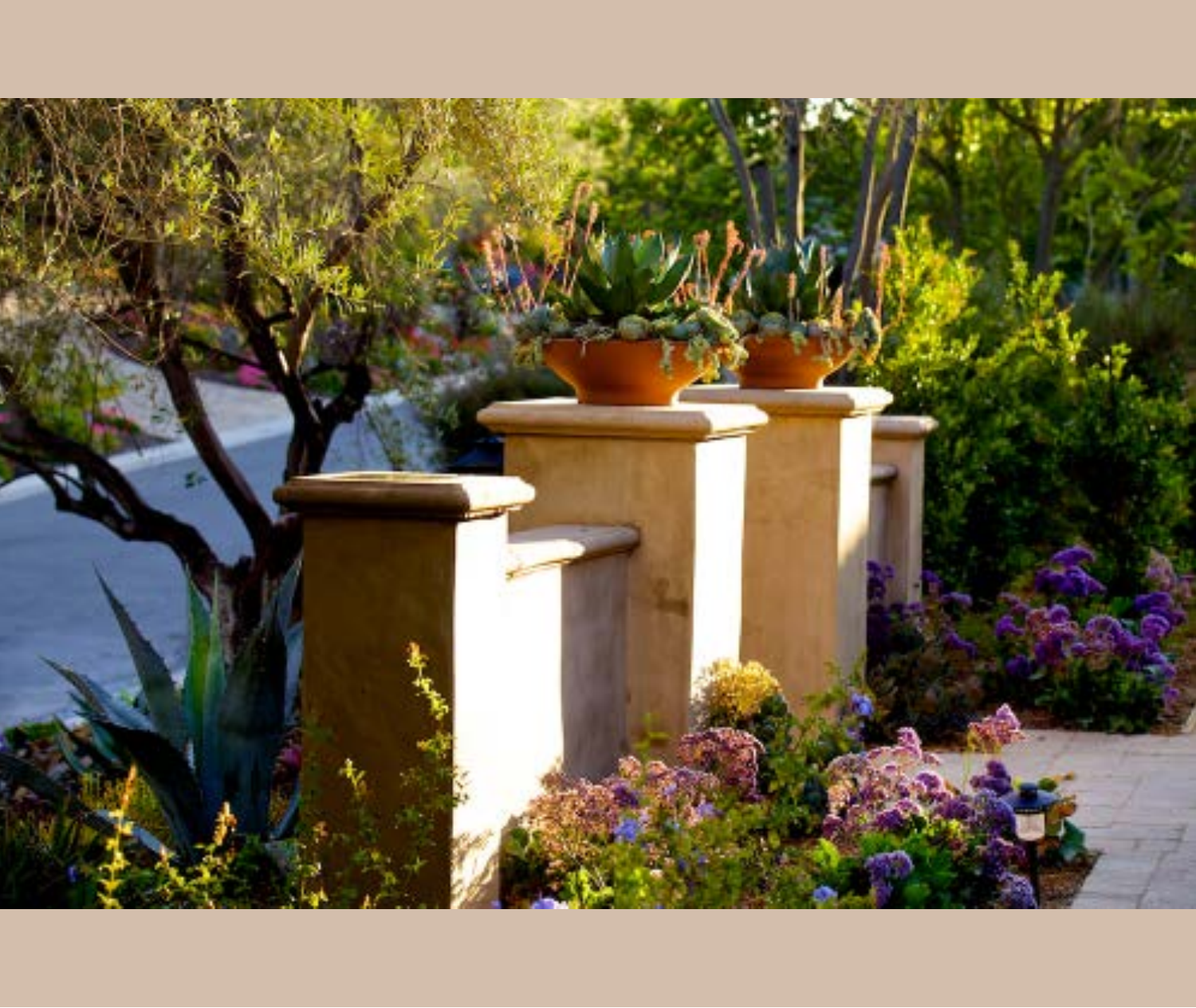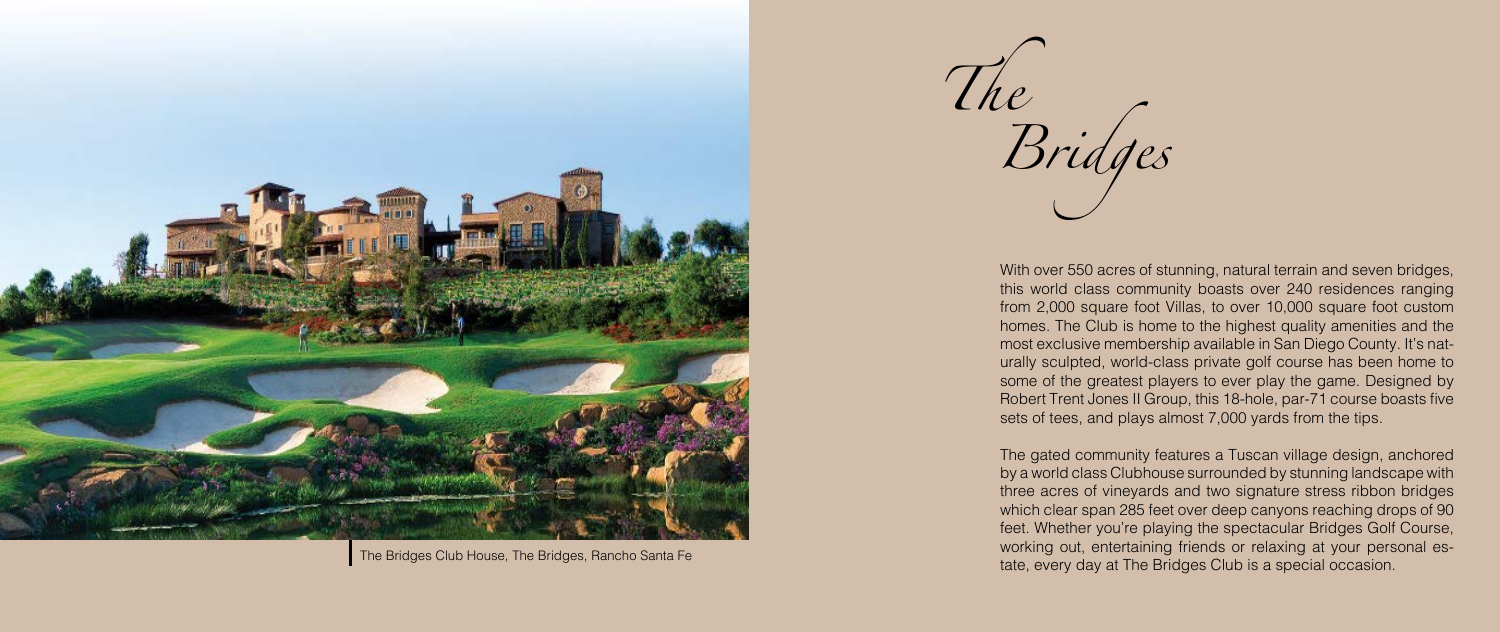



With over 550 acres of stunning, natural terrain and seven bridges, this world class community boasts over 240 residences ranging from 2,000 square foot Villas, to over 10,000 square foot custom homes. The Club is home to the highest quality amenities and the most exclusive membership available in San Diego County. It's naturally sculpted, world-class private golf course has been home to some of the greatest players to ever play the game. Designed by Robert Trent Jones II Group, this 18-hole, par-71 course boasts five sets of tees, and plays almost 7,000 yards from the tips.

The gated community features a Tuscan village design, anchored by a world class Clubhouse surrounded by stunning landscape with three acres of vineyards and two signature stress ribbon bridges which clear span 285 feet over deep canyons reaching drops of 90 feet. Whether you're playing the spectacular Bridges Golf Course, working out, entertaining friends or relaxing at your personal es - The Bridges Club House, The Bridges, Rancho Santa Fe **Example 1998** The Bridges Club is a special occasion.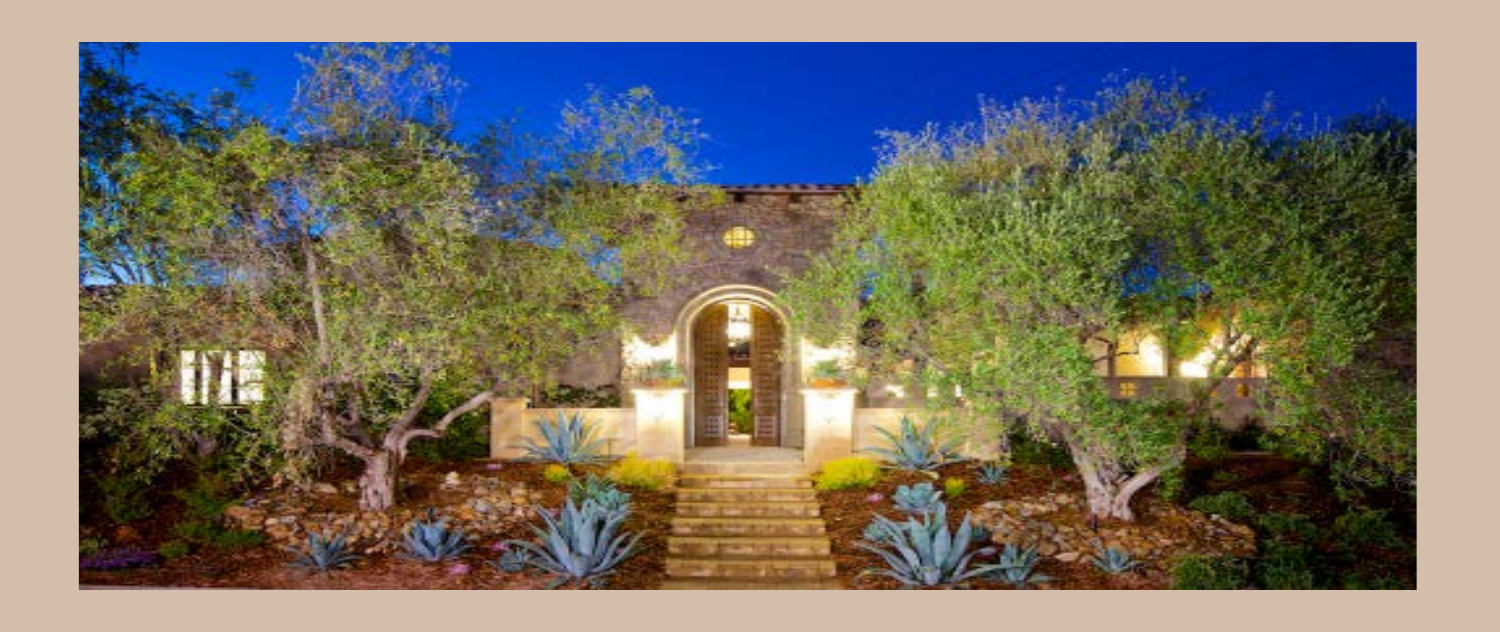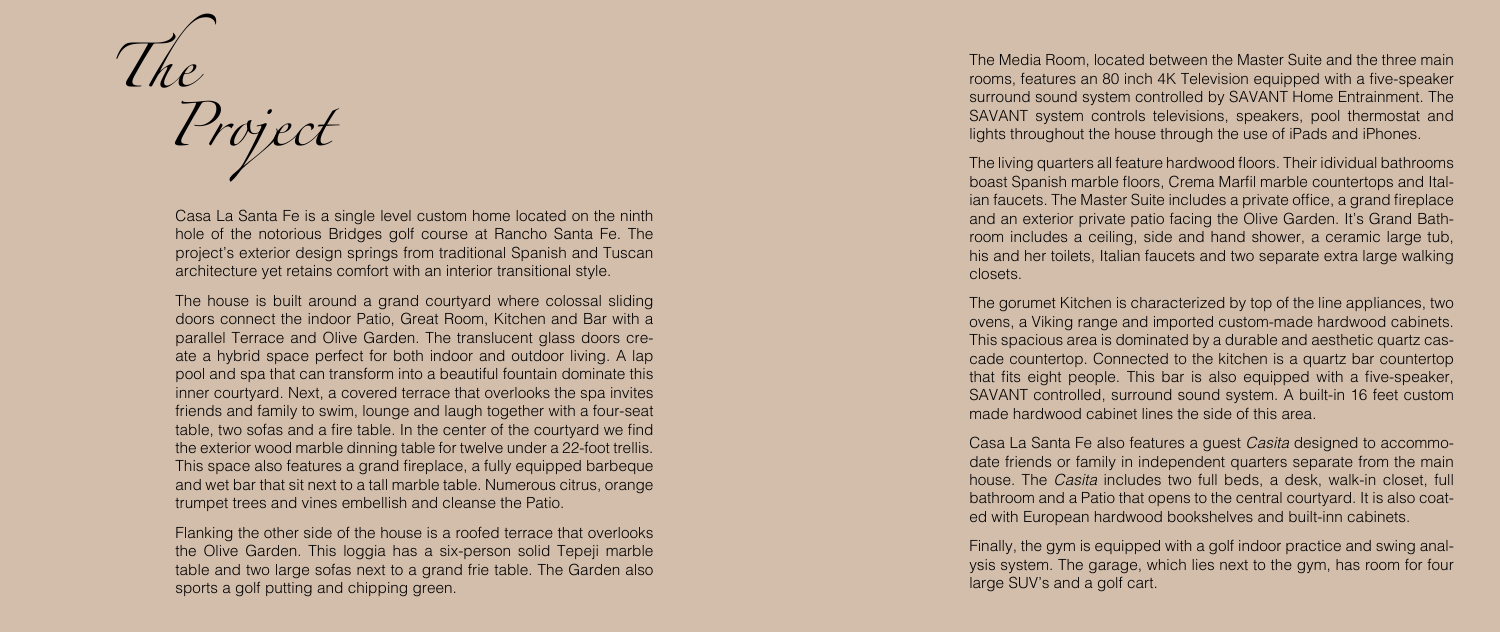Casa La Santa Fe is a single level custom home located on the ninth hole of the notorious Bridges golf course at Rancho Santa Fe. The project's exterior design springs from traditional Spanish and Tuscan architecture yet retains comfort with an interior transitional style.

The house is built around a grand courtyard where colossal sliding doors connect the indoor Patio, Great Room, Kitchen and Bar with a parallel Terrace and Olive Garden. The translucent glass doors cre ate a hybrid space perfect for both indoor and outdoor living. A lap pool and spa that can transform into a beautiful fountain dominate this inner courtyard. Next, a covered terrace that overlooks the spa invites friends and family to swim, lounge and laugh together with a four-seat table, two sofas and a fire table. In the center of the courtyard we find the exterior wood marble dinning table for twelve under a 22-foot trellis. This space also features a grand fireplace, a fully equipped barbeque and wet bar that sit next to a tall marble table. Numerous citrus, orange trumpet trees and vines embellish and cleanse the Patio. **EXECUTE:**<br>
Casa La Santa Fe is a single level custom<br>
hole of the notorious Bridges golf cours<br>
project's exterior design springs from trad<br>
architecture yet retains comfort with an int<br>
The house is built around a grand

Flanking the other side of the house is a roofed terrace that overlooks the Olive Garden. This loggia has a six-person solid Tepeji marble table and two large sofas next to a grand frie table. The Garden also

The living quarters all feature hardwood floors. Their idividual bathrooms boast Spanish marble floors, Crema Marfil marble countertops and Italian faucets. The Master Suite includes a private office, a grand fireplace and an exterior private patio facing the Olive Garden. It's Grand Bathroom includes a ceiling, side and hand shower, a ceramic large tub, his and her toilets, Italian faucets and two separate extra large walking closets.



 *Project*

Casa La Santa Fe also features a guest Casita designed to accommodate friends or family in independent quarters separate from the main house. The Casita includes two full beds, a desk, walk-in closet, full bathroom and a Patio that opens to the central courtyard. It is also coat ed with European hardwood bookshelves and built-inn cabinets.

Finally, the gym is equipped with a golf indoor practice and swing analysis system. The garage, which lies next to the gym, has room for four large SUV's and a golf cart.

The Media Room, located between the Master Suite and the three main rooms, features an 80 inch 4K Television equipped with a five-speaker surround sound system controlled by SAVANT Home Entrainment. The SAVANT system controls televisions, speakers, pool thermostat and lights throughout the house through the use of iPads and iPhones.

The gorumet Kitchen is characterized by top of the line appliances, two ovens, a Viking range and imported custom-made hardwood cabinets. This spacious area is dominated by a durable and aesthetic quartz cas cade countertop. Connected to the kitchen is a quartz bar countertop that fits eight people. This bar is also equipped with a five-speaker, SAVANT controlled, surround sound system. A built-in 16 feet custom made hardwood cabinet lines the side of this area.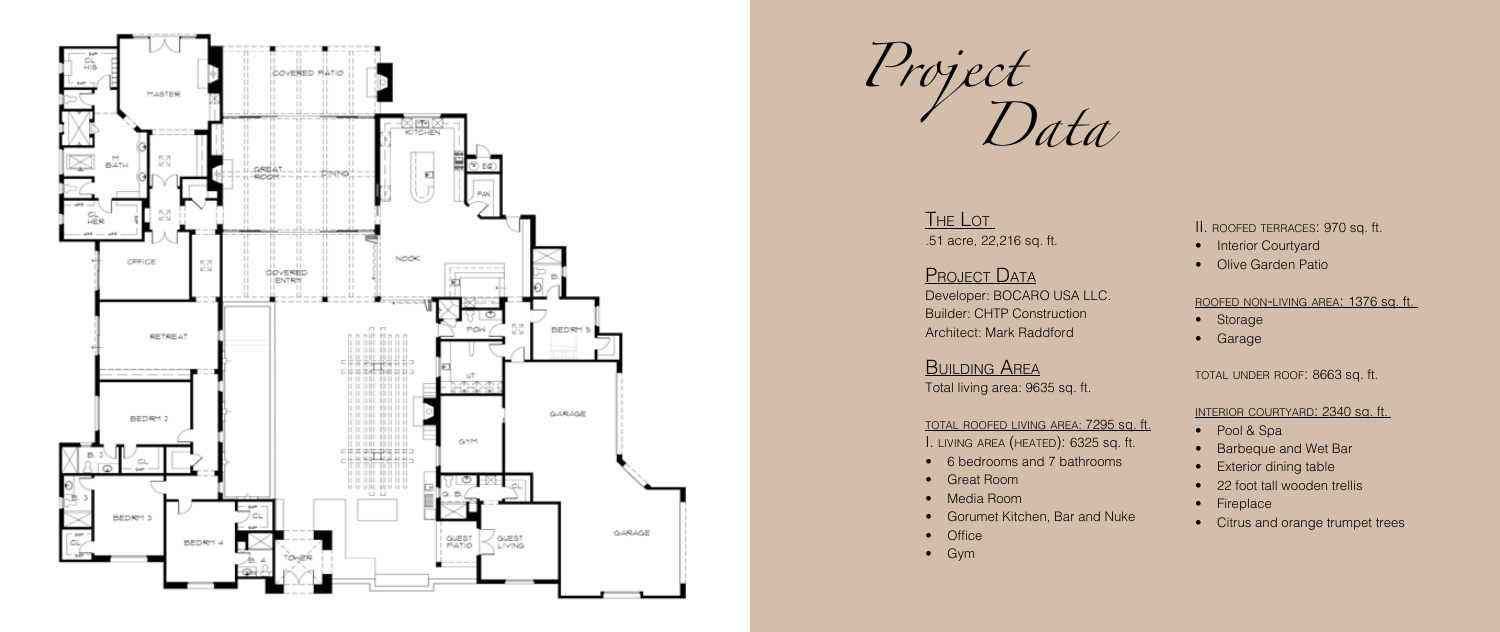

*Project* 

THE LOT .51 acre, 22,216 sq. ft.

**BUILDING AREA** 

 *Data* 

- II. ROOFED TERRACES: 970 sq. ft.
- Interior Courtyard
- Olive Garden Patio

- Pool & Spa
- Barbeque and Wet Bar
- Exterior dining table
- 22 foot tall wooden trellis
- $\bullet$  Fireplace
- Citrus and orange trumpet trees

## roofed non-lIvIng area: 1376 sq. ft.

- Storage
- Garage

total under roof: 8663 sq. ft.

## INTERIOR COURTYARD: 2340 sq. ft.

PROJECT DATA Developer: BOCARO USA LLC. Builder: CHTP Construction Architect: Mark Raddford

Total living area: 9635 sq. ft.

## TOTAL ROOFED LIVING AREA: 7295 sq. ft.

- I. LIVING AREA (HEATED): 6325 sq. ft.
- 6 bedrooms and 7 bathrooms
	-
	-
- Gorumet Kitchen, Bar and Nuke
- 
- Great Room
- Media Room
- 
- Office
- Gym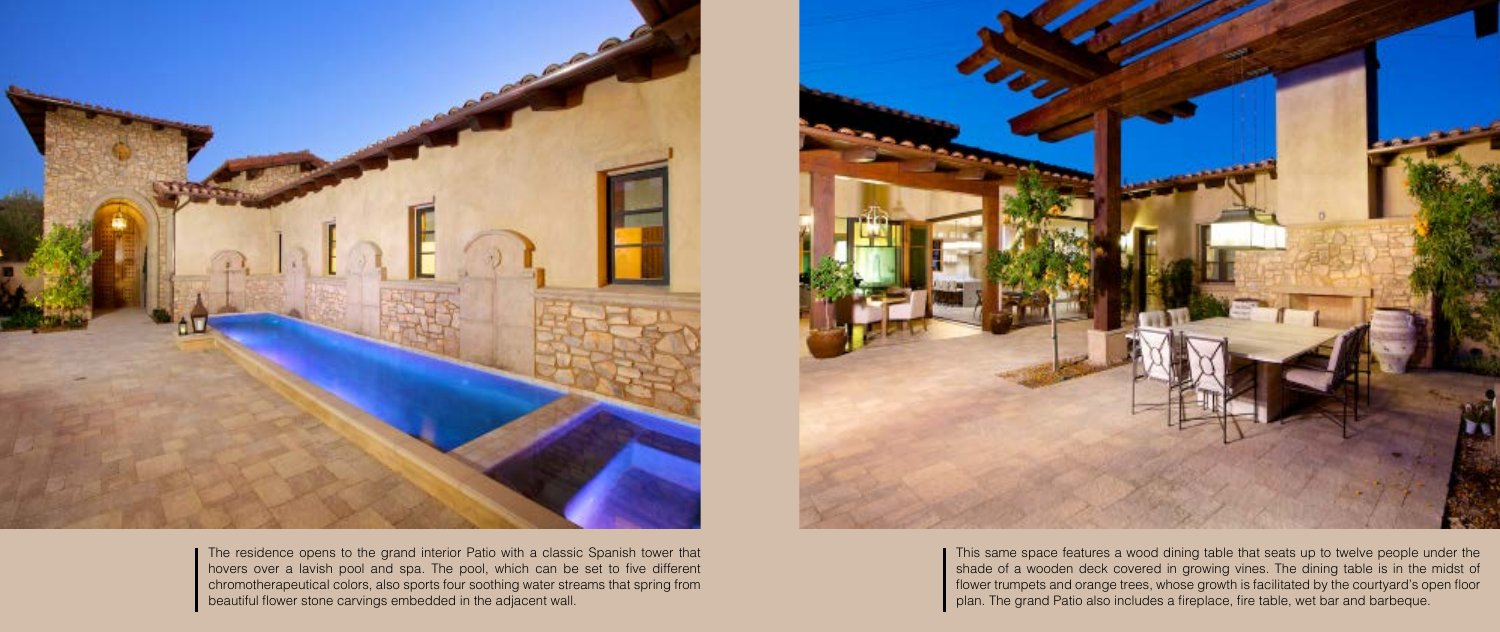



The residence opens to the grand interior Patio with a classic Spanish tower that hovers over a lavish pool and spa. The pool, which can be set to five different chromotherapeutical colors, also sports four soothing water streams that spring from beautiful flower stone carvings embedded in the adjacent wall.

This same space features a wood dining table that seats up to twelve people under the shade of a wooden deck covered in growing vines. The dining table is in the midst of flower trumpets and orange trees, whose growth is facilitated by the courtyard's open floor plan. The grand Patio also includes a fireplace, fire table, wet bar and barbeque.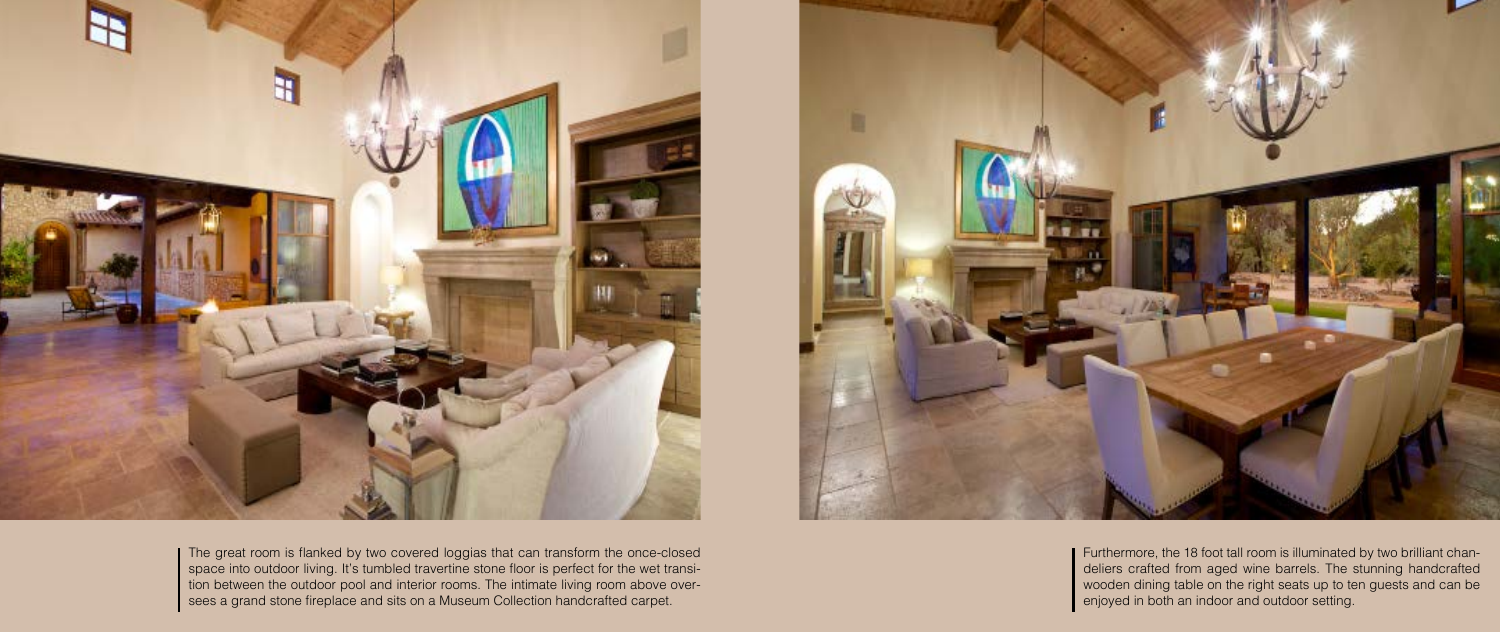



The great room is flanked by two covered loggias that can transform the once-closed space into outdoor living. It's tumbled travertine stone floor is perfect for the wet transition between the outdoor pool and interior rooms. The intimate living room above over sees a grand stone fireplace and sits on a Museum Collection handcrafted carpet.

Furthermore, the 18 foot tall room is illuminated by two brilliant chandeliers crafted from aged wine barrels. The stunning handcrafted wooden dining table on the right seats up to ten guests and can be enjoyed in both an indoor and outdoor setting.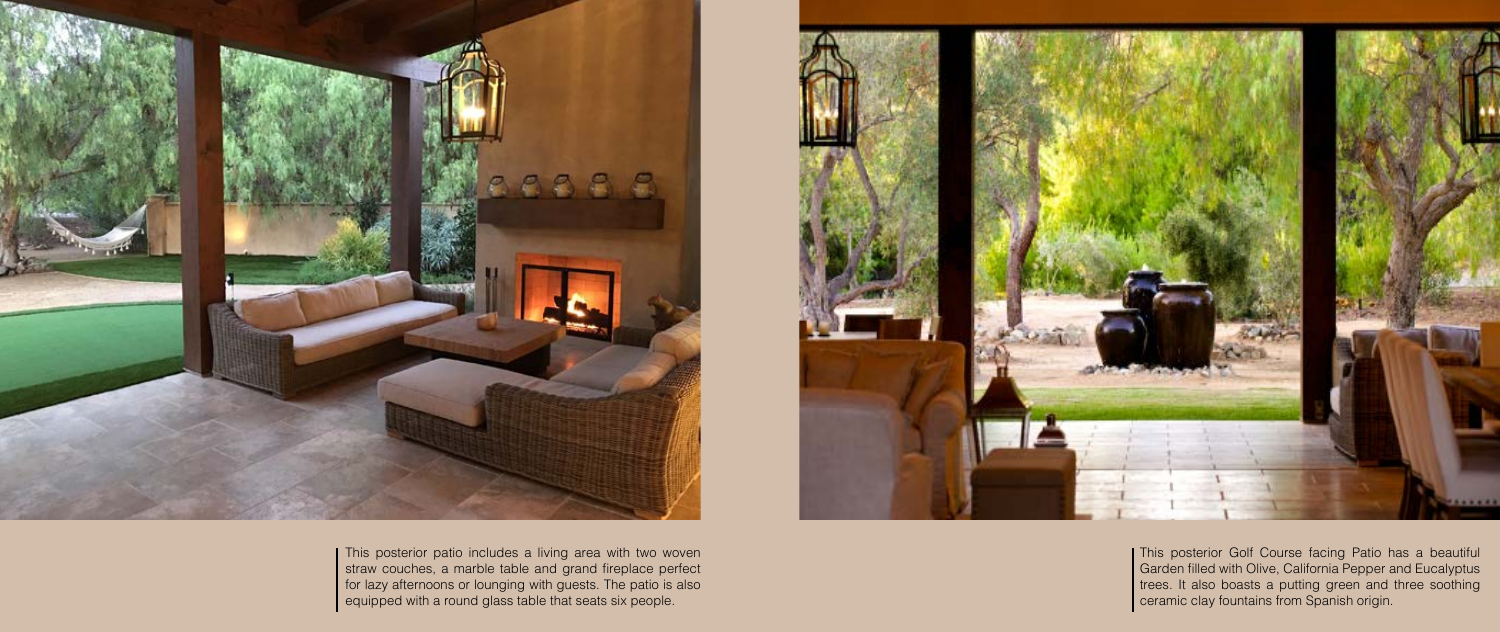



This posterior patio includes a living area with two woven straw couches, a marble table and grand fireplace perfect for lazy afternoons or lounging with guests. The patio is also equipped with a round glass table that seats six people.

This posterior Golf Course facing Patio has a beautiful Garden filled with Olive, California Pepper and Eucalyptus trees. It also boasts a putting green and three soothing ceramic clay fountains from Spanish origin.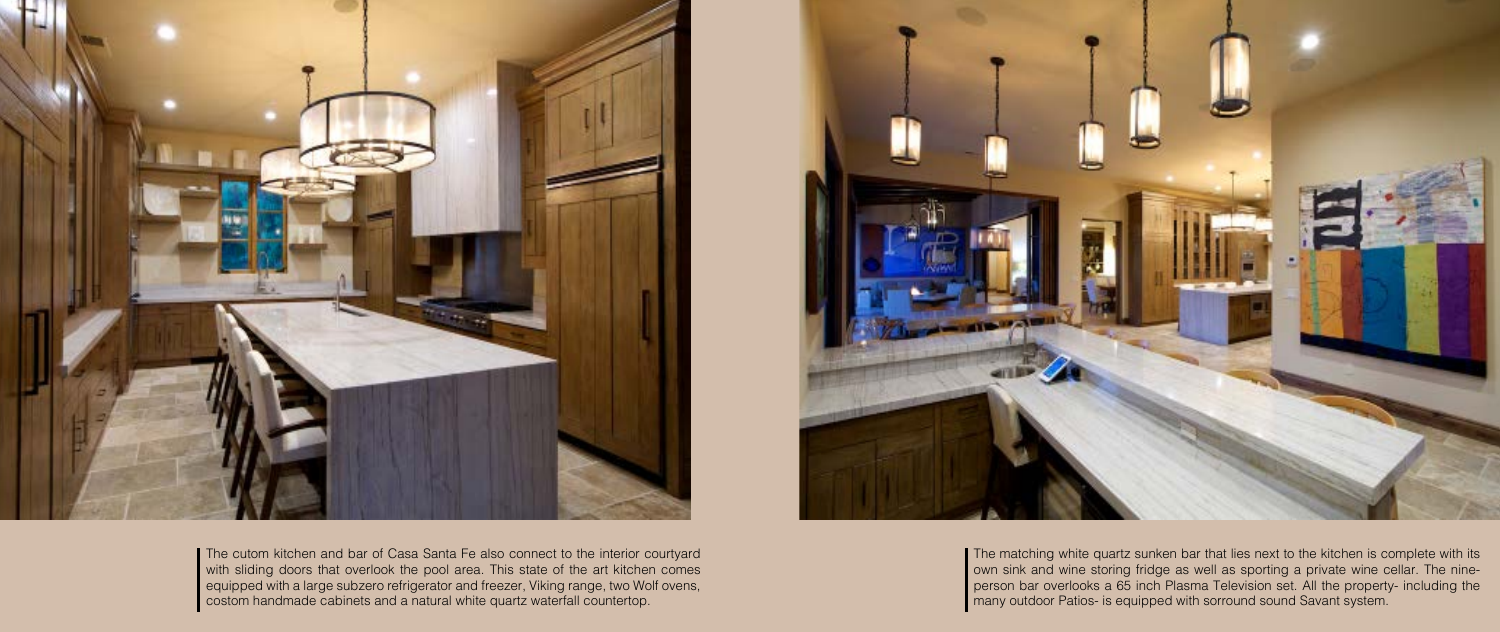



The cutom kitchen and bar of Casa Santa Fe also connect to the interior courtyard with sliding doors that overlook the pool area. This state of the art kitchen comes equipped with a large subzero refrigerator and freezer, Viking range, two Wolf ovens, costom handmade cabinets and a natural white quartz waterfall countertop.

The matching white quartz sunken bar that lies next to the kitchen is complete with its own sink and wine storing fridge as well as sporting a private wine cellar. The nineperson bar overlooks a 65 inch Plasma Television set. All the property- including the many outdoor Patios- is equipped with sorround sound Savant system.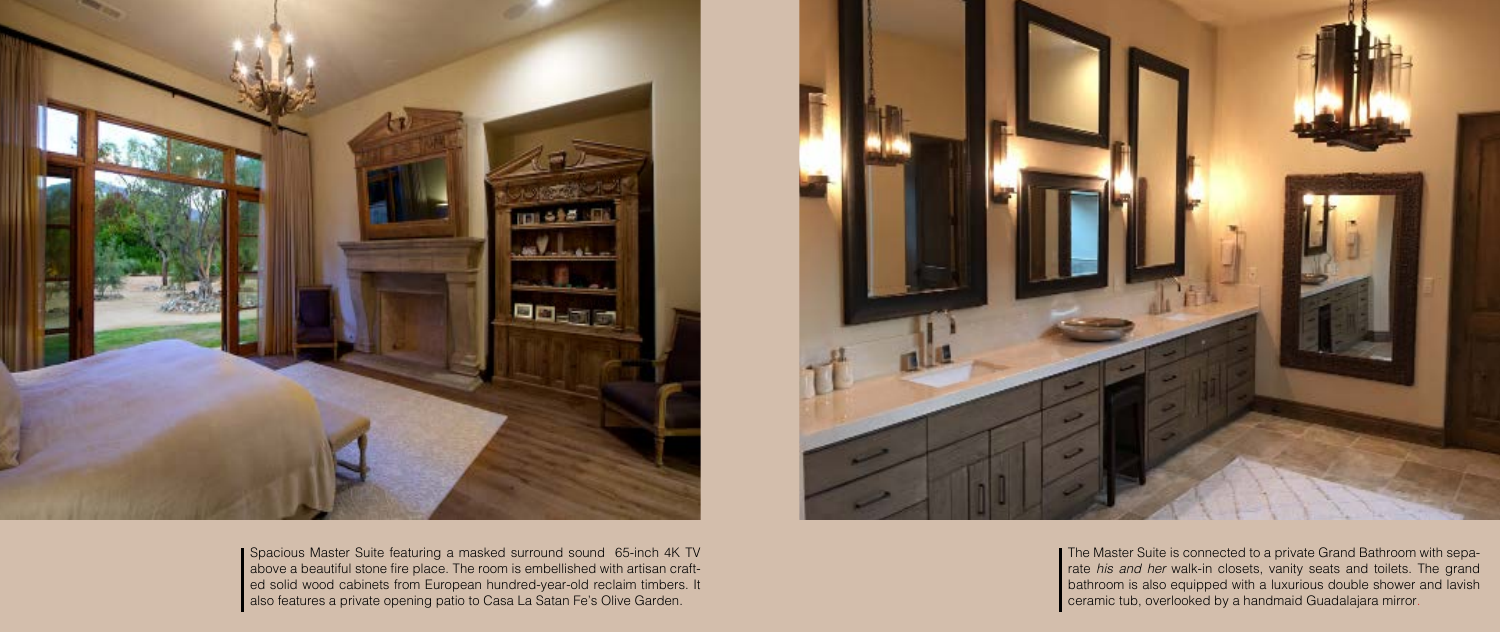



Spacious Master Suite featuring a masked surround sound 65-inch 4K TV above a beautiful stone fire place. The room is embellished with artisan crafted solid wood cabinets from European hundred-year-old reclaim timbers. It  $\parallel$  also features a private opening patio to Casa La Satan Fe's Olive Garden.

The Master Suite is connected to a private Grand Bathroom with separate his and her walk-in closets, vanity seats and toilets. The grand bathroom is also equipped with a luxurious double shower and lavish ceramic tub, overlooked by a handmaid Guadalajara mirror.